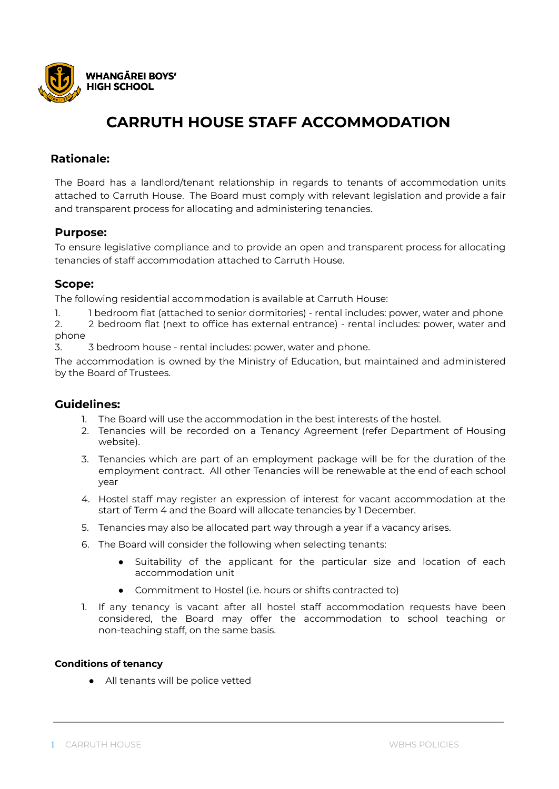

## **Rationale:**

The Board has a landlord/tenant relationship in regards to tenants of accommodation units attached to Carruth House. The Board must comply with relevant legislation and provide a fair and transparent process for allocating and administering tenancies.

## **Purpose:**

To ensure legislative compliance and to provide an open and transparent process for allocating tenancies of staff accommodation attached to Carruth House.

## **Scope:**

The following residential accommodation is available at Carruth House:

1. 1 bedroom flat (attached to senior dormitories) - rental includes: power, water and phone

2. 2 bedroom flat (next to office has external entrance) - rental includes: power, water and phone

3. 3 bedroom house - rental includes: power, water and phone.

The accommodation is owned by the Ministry of Education, but maintained and administered by the Board of Trustees.

## **Guidelines:**

- 1. The Board will use the accommodation in the best interests of the hostel.
- 2. Tenancies will be recorded on a Tenancy Agreement (refer Department of Housing website).
- 3. Tenancies which are part of an employment package will be for the duration of the employment contract. All other Tenancies will be renewable at the end of each school year
- 4. Hostel staff may register an expression of interest for vacant accommodation at the start of Term 4 and the Board will allocate tenancies by 1 December.
- 5. Tenancies may also be allocated part way through a year if a vacancy arises.
- 6. The Board will consider the following when selecting tenants:
	- Suitability of the applicant for the particular size and location of each accommodation unit
	- Commitment to Hostel (i.e. hours or shifts contracted to)
- 1. If any tenancy is vacant after all hostel staff accommodation requests have been considered, the Board may offer the accommodation to school teaching or non-teaching staff, on the same basis.

#### **Conditions of tenancy**

● All tenants will be police vetted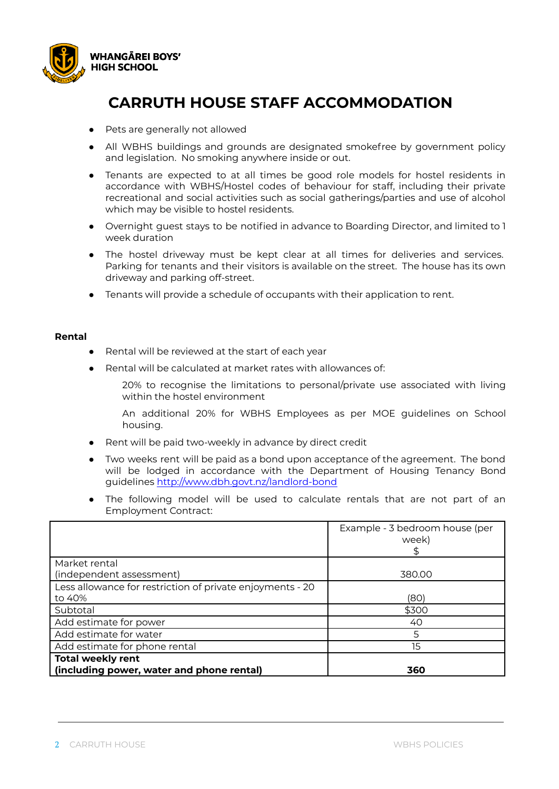

- Pets are generally not allowed
- All WBHS buildings and grounds are designated smokefree by government policy and legislation. No smoking anywhere inside or out.
- Tenants are expected to at all times be good role models for hostel residents in accordance with WBHS/Hostel codes of behaviour for staff, including their private recreational and social activities such as social gatherings/parties and use of alcohol which may be visible to hostel residents.
- Overnight guest stays to be notified in advance to Boarding Director, and limited to 1 week duration
- The hostel driveway must be kept clear at all times for deliveries and services. Parking for tenants and their visitors is available on the street. The house has its own driveway and parking off-street.
- Tenants will provide a schedule of occupants with their application to rent.

#### **Rental**

- Rental will be reviewed at the start of each year
- Rental will be calculated at market rates with allowances of:
	- 20% to recognise the limitations to personal/private use associated with living within the hostel environment
	- An additional 20% for WBHS Employees as per MOE guidelines on School housing.
- Rent will be paid two-weekly in advance by direct credit
- Two weeks rent will be paid as a bond upon acceptance of the agreement. The bond will be lodged in accordance with the Department of Housing Tenancy Bond guidelines <http://www.dbh.govt.nz/landlord-bond>
- The following model will be used to calculate rentals that are not part of an Employment Contract:

|                                                           | Example - 3 bedroom house (per<br>week) |
|-----------------------------------------------------------|-----------------------------------------|
| Market rental                                             |                                         |
| (independent assessment)                                  | 380.00                                  |
| Less allowance for restriction of private enjoyments - 20 |                                         |
| to 40%                                                    | (80)                                    |
| Subtotal                                                  | \$300                                   |
| Add estimate for power                                    | 40                                      |
| Add estimate for water                                    | 5                                       |
| Add estimate for phone rental                             | 15                                      |
| <b>Total weekly rent</b>                                  |                                         |
| (including power, water and phone rental)                 | 360                                     |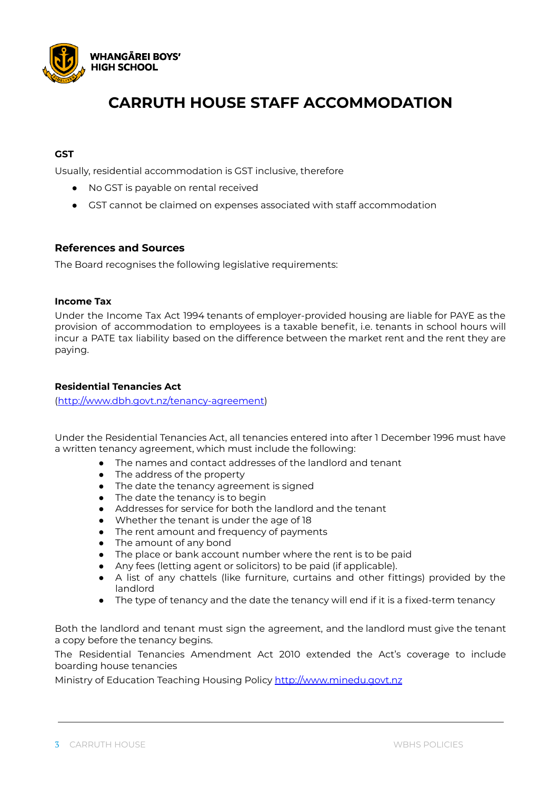

## **GST**

Usually, residential accommodation is GST inclusive, therefore

- No GST is payable on rental received
- GST cannot be claimed on expenses associated with staff accommodation

### **References and Sources**

The Board recognises the following legislative requirements:

#### **Income Tax**

Under the Income Tax Act 1994 tenants of employer-provided housing are liable for PAYE as the provision of accommodation to employees is a taxable benefit, i.e. tenants in school hours will incur a PATE tax liability based on the difference between the market rent and the rent they are paying.

#### **Residential Tenancies Act**

([http://www.dbh.govt.nz/tenancy-agreement\)](http://www.dbh.govt.nz/tenancy-agreement)

Under the Residential Tenancies Act, all tenancies entered into after 1 December 1996 must have a written tenancy agreement, which must include the following:

- The names and contact addresses of the landlord and tenant
- The address of the property
- The date the tenancy agreement is signed
- The date the tenancy is to begin
- Addresses for service for both the landlord and the tenant
- Whether the tenant is under the age of 18
- The rent amount and frequency of payments
- The amount of any bond
- The place or bank account number where the rent is to be paid
- Any fees (letting agent or solicitors) to be paid (if applicable).
- A list of any chattels (like furniture, curtains and other fittings) provided by the landlord
- The type of tenancy and the date the tenancy will end if it is a fixed-term tenancy

Both the landlord and tenant must sign the agreement, and the landlord must give the tenant a copy before the tenancy begins.

The Residential Tenancies Amendment Act 2010 extended the Act's coverage to include boarding house tenancies

Ministry of Education Teaching Housing Policy <http://www.minedu.govt.nz>